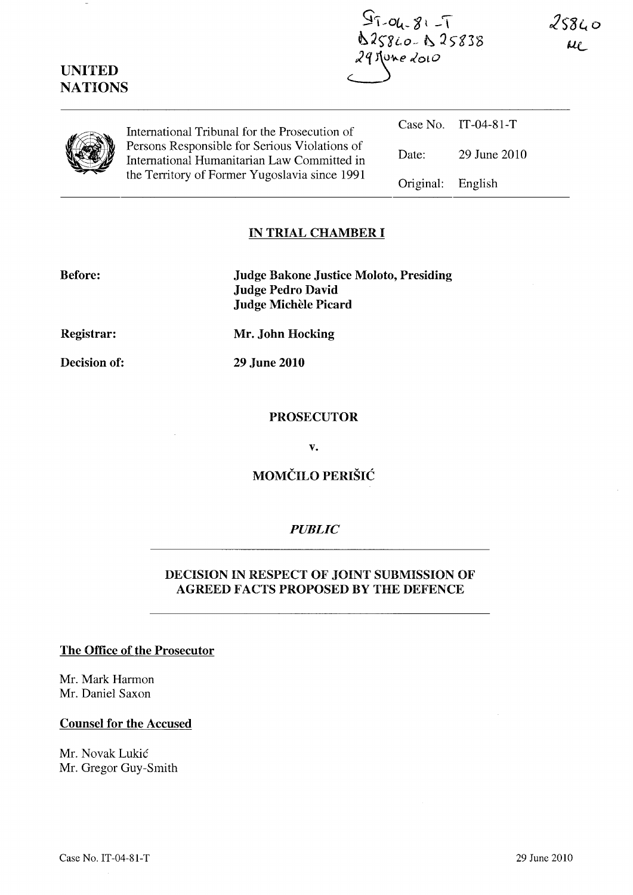| <b>UNITED</b><br><b>NATIONS</b> |                                                                                                                                                                                                | $97 - 81 - 7$<br>D25860-B25838<br>$29$ June 2010 |              | 258 <sub>LO</sub><br>$\mu_{\ell}$ |
|---------------------------------|------------------------------------------------------------------------------------------------------------------------------------------------------------------------------------------------|--------------------------------------------------|--------------|-----------------------------------|
|                                 | International Tribunal for the Prosecution of<br>Persons Responsible for Serious Violations of<br>International Humanitarian Law Committed in<br>the Territory of Former Yugoslavia since 1991 | Case No.                                         | $IT-04-81-T$ |                                   |
|                                 |                                                                                                                                                                                                | Date:                                            | 29 June 2010 |                                   |
|                                 |                                                                                                                                                                                                | Original:                                        | English      |                                   |

### IN TRIAL CHAMBER I

Before:

Judge Bakone Justice Moloto, Presiding Judge Pedro David Judge Michele Picard

Registrar:

Decision of:

Mr. John Hocking

29 June 2010

#### PROSECUTOR

v.

# MOMCILO PERISIC

## *PUBLIC*

## DECISION IN RESPECT OF JOINT SUBMISSION OF AGREED FACTS PROPOSED BY THE DEFENCE

### The Office of the Prosecutor

Mr. Mark Harmon Mr. Daniel Saxon

### Counsel for the Accused

Mr. Novak Lukic Mr. Gregor Guy-Smith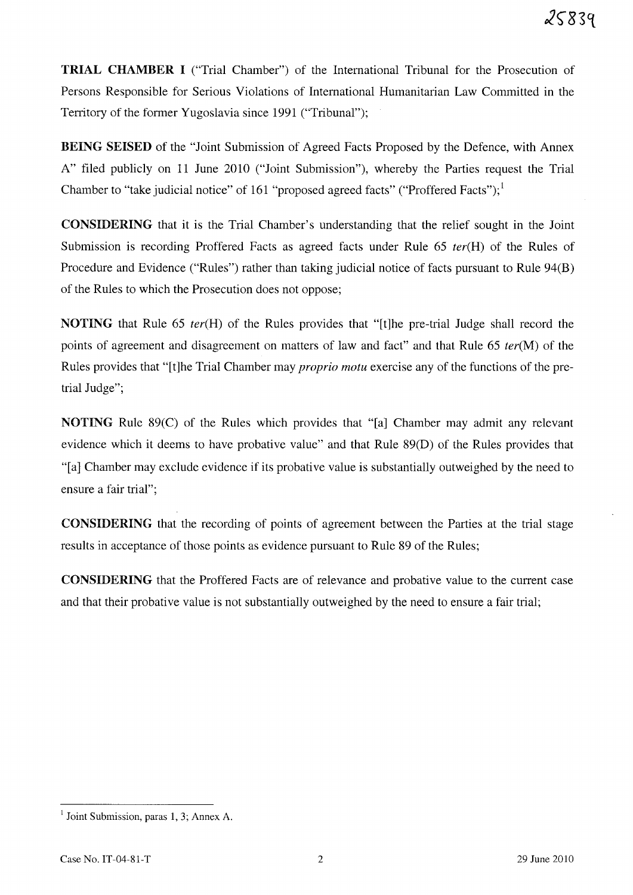**TRIAL** CHAMBER I ("Trial Chamber") of the International Tribunal for the Prosecution of Persons Responsible for Serious Violations of International Humanitarian Law Committed in the Territory of the former Yugoslavia since 1991 ("Tribunal");

BEING SEISED of the "Joint Submission of Agreed Facts Proposed by the Defence, with Annex A" filed publicly on 11 June 2010 ("Joint Submission"), whereby the Parties request the Trial Chamber to "take judicial notice" of 161 "proposed agreed facts" ("Proffered Facts"); $<sup>1</sup>$ </sup>

CONSIDERING that it is the Trial Chamber's understanding that the relief sought in the Joint Submission is recording Proffered Facts as agreed facts under Rule 65 *ter(H)* of the Rules of Procedure and Evidence ("Rules") rather than taking judicial notice of facts pursuant to Rule 94(B) of the Rules to which the Prosecution does not oppose;

NOTING that Rule 65 *ter(H)* of the Rules provides that "[t]he pre-trial Judge shall record the points of agreement and disagreement on matters of law and fact" and that Rule 65 *ter(M)* of the Rules provides that "[t]he Trial Chamber may *proprio motu* exercise any of the functions of the pretrial Judge";

NOTING Rule 89(C) of the Rules which provides that "[a] Chamber may admit any relevant evidence which it deems to have probative value" and that Rule 89(D) of the Rules provides that "[a] Chamber may exclude evidence if its probative value is substantially outweighed by the need to ensure a fair trial";

CONSIDERING that the recording of points of agreement between the Parties at the trial stage results in acceptance of those points as evidence pursuant to Rule 89 of the Rules;

CONSIDERING that the Proffered Facts are of relevance and probative value to the current case and that their probative value is not substantially outweighed by the need to ensure a fair trial;

 $<sup>1</sup>$  Joint Submission, paras 1, 3; Annex A.</sup>